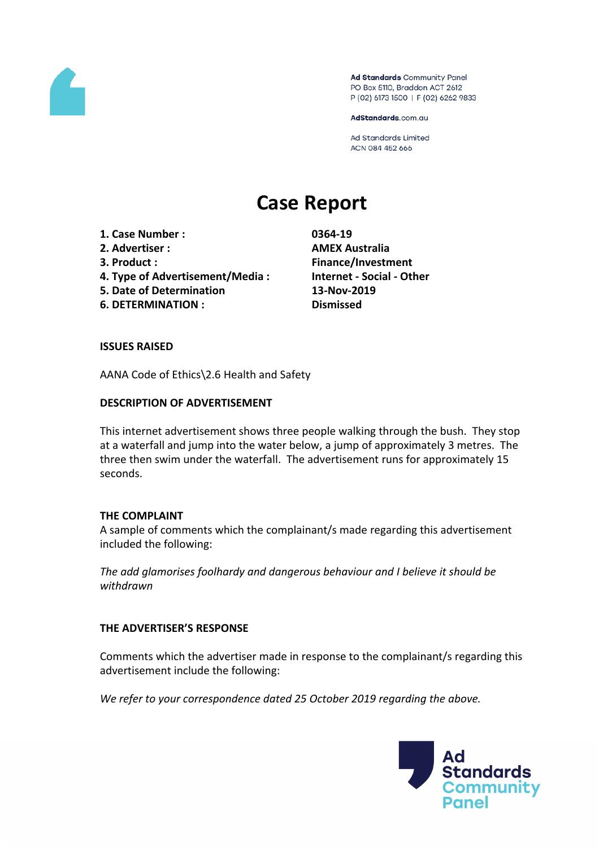

Ad Standards Community Panel PO Box 5110, Braddon ACT 2612 P (02) 6173 1500 | F (02) 6262 9833

AdStandards.com.au

Ad Standards Limited ACN 084 452 666

# **Case Report**

- **1. Case Number : 0364-19**
- **2. Advertiser : AMEX Australia**
- 
- **4. Type of Advertisement/Media : Internet - Social - Other**
- **5. Date of Determination 13-Nov-2019**
- **6. DETERMINATION : Dismissed**

**3. Product : Finance/Investment**

#### **ISSUES RAISED**

AANA Code of Ethics\2.6 Health and Safety

### **DESCRIPTION OF ADVERTISEMENT**

This internet advertisement shows three people walking through the bush. They stop at a waterfall and jump into the water below, a jump of approximately 3 metres. The three then swim under the waterfall. The advertisement runs for approximately 15 seconds.

#### **THE COMPLAINT**

A sample of comments which the complainant/s made regarding this advertisement included the following:

*The add glamorises foolhardy and dangerous behaviour and I believe it should be withdrawn*

## **THE ADVERTISER'S RESPONSE**

Comments which the advertiser made in response to the complainant/s regarding this advertisement include the following:

*We refer to your correspondence dated 25 October 2019 regarding the above.* 

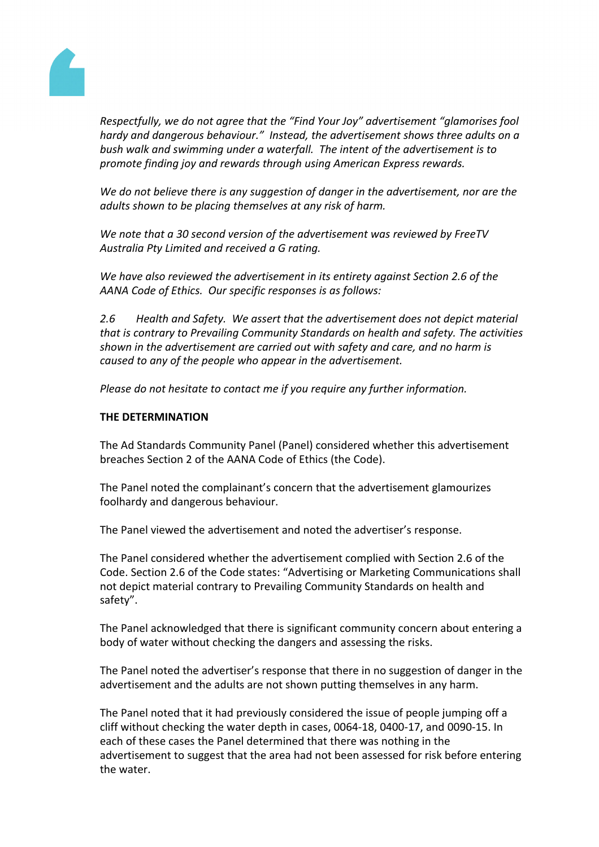

*Respectfully, we do not agree that the "Find Your Joy" advertisement "glamorises fool hardy and dangerous behaviour." Instead, the advertisement shows three adults on a bush walk and swimming under a waterfall. The intent of the advertisement is to promote finding joy and rewards through using American Express rewards.* 

*We do not believe there is any suggestion of danger in the advertisement, nor are the adults shown to be placing themselves at any risk of harm.* 

*We note that a 30 second version of the advertisement was reviewed by FreeTV Australia Pty Limited and received a G rating.* 

*We have also reviewed the advertisement in its entirety against Section 2.6 of the AANA Code of Ethics. Our specific responses is as follows:*

*2.6 Health and Safety. We assert that the advertisement does not depict material that is contrary to Prevailing Community Standards on health and safety. The activities shown in the advertisement are carried out with safety and care, and no harm is caused to any of the people who appear in the advertisement.* 

*Please do not hesitate to contact me if you require any further information.*

#### **THE DETERMINATION**

The Ad Standards Community Panel (Panel) considered whether this advertisement breaches Section 2 of the AANA Code of Ethics (the Code).

The Panel noted the complainant's concern that the advertisement glamourizes foolhardy and dangerous behaviour.

The Panel viewed the advertisement and noted the advertiser's response.

The Panel considered whether the advertisement complied with Section 2.6 of the Code. Section 2.6 of the Code states: "Advertising or Marketing Communications shall not depict material contrary to Prevailing Community Standards on health and safety".

The Panel acknowledged that there is significant community concern about entering a body of water without checking the dangers and assessing the risks.

The Panel noted the advertiser's response that there in no suggestion of danger in the advertisement and the adults are not shown putting themselves in any harm.

The Panel noted that it had previously considered the issue of people jumping off a cliff without checking the water depth in cases, 0064-18, 0400-17, and 0090-15. In each of these cases the Panel determined that there was nothing in the advertisement to suggest that the area had not been assessed for risk before entering the water.